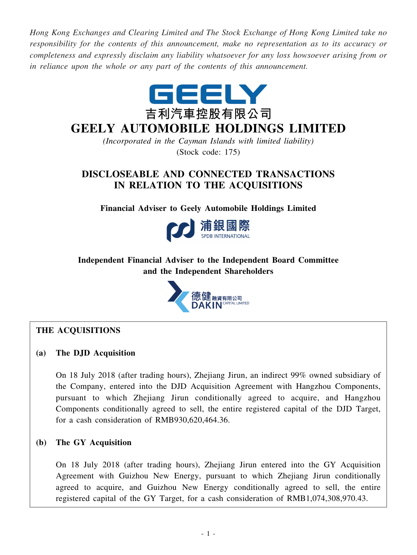*Hong Kong Exchanges and Clearing Limited and The Stock Exchange of Hong Kong Limited take no responsibility for the contents of this announcement, make no representation as to its accuracy or completeness and expressly disclaim any liability whatsoever for any loss howsoever arising from or in reliance upon the whole or any part of the contents of this announcement.*



# **GEELY AUTOMOBILE HOLDINGS LIMITED**

*(Incorporated in the Cayman Islands with limited liability)* (Stock code: 175)

## **DISCLOSEABLE AND CONNECTED TRANSACTIONS IN RELATION TO THE ACQUISITIONS**

**Financial Adviser to Geely Automobile Holdings Limited**



### **Independent Financial Adviser to the Independent Board Committee and the Independent Shareholders**



### **THE ACQUISITIONS**

### **(a) The DJD Acquisition**

On 18 July 2018 (after trading hours), Zhejiang Jirun, an indirect 99% owned subsidiary of the Company, entered into the DJD Acquisition Agreement with Hangzhou Components, pursuant to which Zhejiang Jirun conditionally agreed to acquire, and Hangzhou Components conditionally agreed to sell, the entire registered capital of the DJD Target, for a cash consideration of RMB930,620,464.36.

### **(b) The GY Acquisition**

On 18 July 2018 (after trading hours), Zhejiang Jirun entered into the GY Acquisition Agreement with Guizhou New Energy, pursuant to which Zhejiang Jirun conditionally agreed to acquire, and Guizhou New Energy conditionally agreed to sell, the entire registered capital of the GY Target, for a cash consideration of RMB1,074,308,970.43.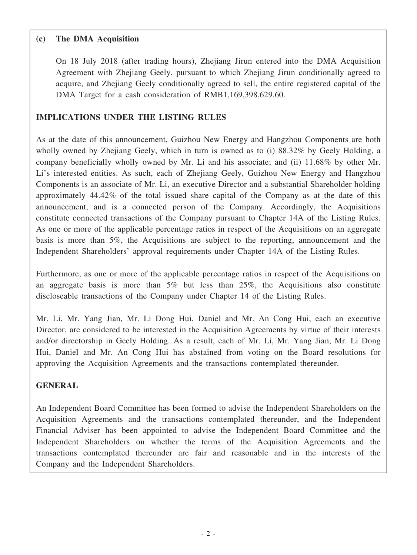### **(c) The DMA Acquisition**

On 18 July 2018 (after trading hours), Zhejiang Jirun entered into the DMA Acquisition Agreement with Zhejiang Geely, pursuant to which Zhejiang Jirun conditionally agreed to acquire, and Zhejiang Geely conditionally agreed to sell, the entire registered capital of the DMA Target for a cash consideration of RMB1,169,398,629.60.

### **IMPLICATIONS UNDER THE LISTING RULES**

As at the date of this announcement, Guizhou New Energy and Hangzhou Components are both wholly owned by Zhejiang Geely, which in turn is owned as to (i) 88.32% by Geely Holding, a company beneficially wholly owned by Mr. Li and his associate; and (ii) 11.68% by other Mr. Li's interested entities. As such, each of Zhejiang Geely, Guizhou New Energy and Hangzhou Components is an associate of Mr. Li, an executive Director and a substantial Shareholder holding approximately 44.42% of the total issued share capital of the Company as at the date of this announcement, and is a connected person of the Company. Accordingly, the Acquisitions constitute connected transactions of the Company pursuant to Chapter 14A of the Listing Rules. As one or more of the applicable percentage ratios in respect of the Acquisitions on an aggregate basis is more than 5%, the Acquisitions are subject to the reporting, announcement and the Independent Shareholders' approval requirements under Chapter 14A of the Listing Rules.

Furthermore, as one or more of the applicable percentage ratios in respect of the Acquisitions on an aggregate basis is more than 5% but less than 25%, the Acquisitions also constitute discloseable transactions of the Company under Chapter 14 of the Listing Rules.

Mr. Li, Mr. Yang Jian, Mr. Li Dong Hui, Daniel and Mr. An Cong Hui, each an executive Director, are considered to be interested in the Acquisition Agreements by virtue of their interests and/or directorship in Geely Holding. As a result, each of Mr. Li, Mr. Yang Jian, Mr. Li Dong Hui, Daniel and Mr. An Cong Hui has abstained from voting on the Board resolutions for approving the Acquisition Agreements and the transactions contemplated thereunder.

### **GENERAL**

An Independent Board Committee has been formed to advise the Independent Shareholders on the Acquisition Agreements and the transactions contemplated thereunder, and the Independent Financial Adviser has been appointed to advise the Independent Board Committee and the Independent Shareholders on whether the terms of the Acquisition Agreements and the transactions contemplated thereunder are fair and reasonable and in the interests of the Company and the Independent Shareholders.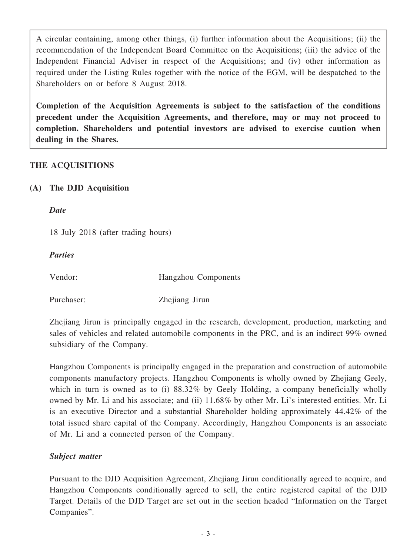A circular containing, among other things, (i) further information about the Acquisitions; (ii) the recommendation of the Independent Board Committee on the Acquisitions; (iii) the advice of the Independent Financial Adviser in respect of the Acquisitions; and (iv) other information as required under the Listing Rules together with the notice of the EGM, will be despatched to the Shareholders on or before 8 August 2018.

**Completion of the Acquisition Agreements is subject to the satisfaction of the conditions precedent under the Acquisition Agreements, and therefore, may or may not proceed to completion. Shareholders and potential investors are advised to exercise caution when dealing in the Shares.**

### **THE ACQUISITIONS**

### **(A) The DJD Acquisition**

*Date*

18 July 2018 (after trading hours)

*Parties*

Vendor: Hangzhou Components

Purchaser: Zhejiang Jirun

Zhejiang Jirun is principally engaged in the research, development, production, marketing and sales of vehicles and related automobile components in the PRC, and is an indirect 99% owned subsidiary of the Company.

Hangzhou Components is principally engaged in the preparation and construction of automobile components manufactory projects. Hangzhou Components is wholly owned by Zhejiang Geely, which in turn is owned as to (i) 88.32% by Geely Holding, a company beneficially wholly owned by Mr. Li and his associate; and (ii) 11.68% by other Mr. Li's interested entities. Mr. Li is an executive Director and a substantial Shareholder holding approximately 44.42% of the total issued share capital of the Company. Accordingly, Hangzhou Components is an associate of Mr. Li and a connected person of the Company.

### *Subject matter*

Pursuant to the DJD Acquisition Agreement, Zhejiang Jirun conditionally agreed to acquire, and Hangzhou Components conditionally agreed to sell, the entire registered capital of the DJD Target. Details of the DJD Target are set out in the section headed "Information on the Target Companies".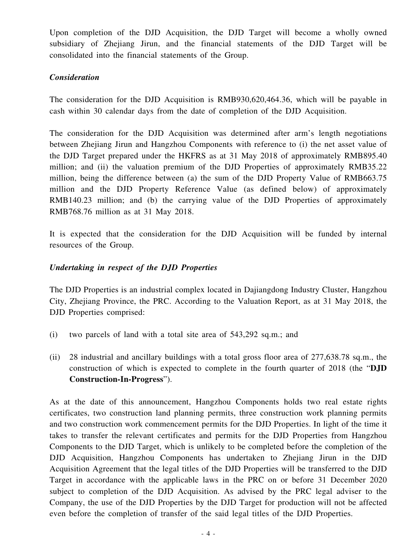Upon completion of the DJD Acquisition, the DJD Target will become a wholly owned subsidiary of Zhejiang Jirun, and the financial statements of the DJD Target will be consolidated into the financial statements of the Group.

### *Consideration*

The consideration for the DJD Acquisition is RMB930,620,464.36, which will be payable in cash within 30 calendar days from the date of completion of the DJD Acquisition.

The consideration for the DJD Acquisition was determined after arm's length negotiations between Zhejiang Jirun and Hangzhou Components with reference to (i) the net asset value of the DJD Target prepared under the HKFRS as at 31 May 2018 of approximately RMB895.40 million; and (ii) the valuation premium of the DJD Properties of approximately RMB35.22 million, being the difference between (a) the sum of the DJD Property Value of RMB663.75 million and the DJD Property Reference Value (as defined below) of approximately RMB140.23 million; and (b) the carrying value of the DJD Properties of approximately RMB768.76 million as at 31 May 2018.

It is expected that the consideration for the DJD Acquisition will be funded by internal resources of the Group.

### *Undertaking in respect of the DJD Properties*

The DJD Properties is an industrial complex located in Dajiangdong Industry Cluster, Hangzhou City, Zhejiang Province, the PRC. According to the Valuation Report, as at 31 May 2018, the DJD Properties comprised:

- (i) two parcels of land with a total site area of 543,292 sq.m.; and
- (ii) 28 industrial and ancillary buildings with a total gross floor area of 277,638.78 sq.m., the construction of which is expected to complete in the fourth quarter of 2018 (the "**DJD Construction-In-Progress**").

As at the date of this announcement, Hangzhou Components holds two real estate rights certificates, two construction land planning permits, three construction work planning permits and two construction work commencement permits for the DJD Properties. In light of the time it takes to transfer the relevant certificates and permits for the DJD Properties from Hangzhou Components to the DJD Target, which is unlikely to be completed before the completion of the DJD Acquisition, Hangzhou Components has undertaken to Zhejiang Jirun in the DJD Acquisition Agreement that the legal titles of the DJD Properties will be transferred to the DJD Target in accordance with the applicable laws in the PRC on or before 31 December 2020 subject to completion of the DJD Acquisition. As advised by the PRC legal adviser to the Company, the use of the DJD Properties by the DJD Target for production will not be affected even before the completion of transfer of the said legal titles of the DJD Properties.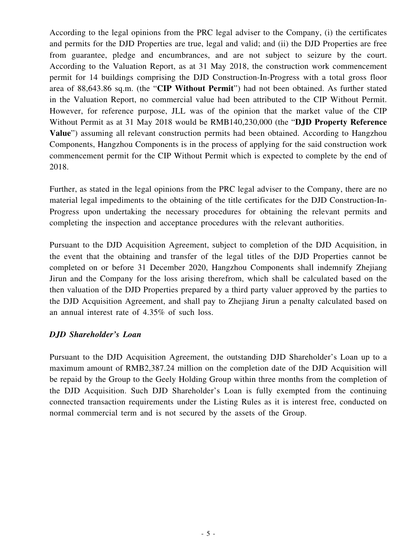According to the legal opinions from the PRC legal adviser to the Company, (i) the certificates and permits for the DJD Properties are true, legal and valid; and (ii) the DJD Properties are free from guarantee, pledge and encumbrances, and are not subject to seizure by the court. According to the Valuation Report, as at 31 May 2018, the construction work commencement permit for 14 buildings comprising the DJD Construction-In-Progress with a total gross floor area of 88,643.86 sq.m. (the "**CIP Without Permit**") had not been obtained. As further stated in the Valuation Report, no commercial value had been attributed to the CIP Without Permit. However, for reference purpose, JLL was of the opinion that the market value of the CIP Without Permit as at 31 May 2018 would be RMB140,230,000 (the "**DJD Property Reference Value**") assuming all relevant construction permits had been obtained. According to Hangzhou Components, Hangzhou Components is in the process of applying for the said construction work commencement permit for the CIP Without Permit which is expected to complete by the end of 2018.

Further, as stated in the legal opinions from the PRC legal adviser to the Company, there are no material legal impediments to the obtaining of the title certificates for the DJD Construction-In-Progress upon undertaking the necessary procedures for obtaining the relevant permits and completing the inspection and acceptance procedures with the relevant authorities.

Pursuant to the DJD Acquisition Agreement, subject to completion of the DJD Acquisition, in the event that the obtaining and transfer of the legal titles of the DJD Properties cannot be completed on or before 31 December 2020, Hangzhou Components shall indemnify Zhejiang Jirun and the Company for the loss arising therefrom, which shall be calculated based on the then valuation of the DJD Properties prepared by a third party valuer approved by the parties to the DJD Acquisition Agreement, and shall pay to Zhejiang Jirun a penalty calculated based on an annual interest rate of 4.35% of such loss.

### *DJD Shareholder's Loan*

Pursuant to the DJD Acquisition Agreement, the outstanding DJD Shareholder's Loan up to a maximum amount of RMB2,387.24 million on the completion date of the DJD Acquisition will be repaid by the Group to the Geely Holding Group within three months from the completion of the DJD Acquisition. Such DJD Shareholder's Loan is fully exempted from the continuing connected transaction requirements under the Listing Rules as it is interest free, conducted on normal commercial term and is not secured by the assets of the Group.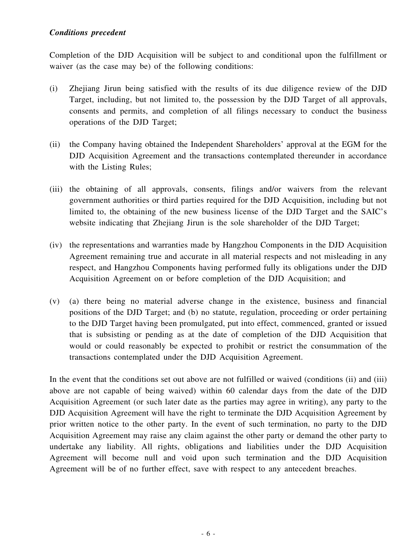#### *Conditions precedent*

Completion of the DJD Acquisition will be subject to and conditional upon the fulfillment or waiver (as the case may be) of the following conditions:

- (i) Zhejiang Jirun being satisfied with the results of its due diligence review of the DJD Target, including, but not limited to, the possession by the DJD Target of all approvals, consents and permits, and completion of all filings necessary to conduct the business operations of the DJD Target;
- (ii) the Company having obtained the Independent Shareholders' approval at the EGM for the DJD Acquisition Agreement and the transactions contemplated thereunder in accordance with the Listing Rules;
- (iii) the obtaining of all approvals, consents, filings and/or waivers from the relevant government authorities or third parties required for the DJD Acquisition, including but not limited to, the obtaining of the new business license of the DJD Target and the SAIC's website indicating that Zhejiang Jirun is the sole shareholder of the DJD Target;
- (iv) the representations and warranties made by Hangzhou Components in the DJD Acquisition Agreement remaining true and accurate in all material respects and not misleading in any respect, and Hangzhou Components having performed fully its obligations under the DJD Acquisition Agreement on or before completion of the DJD Acquisition; and
- (v) (a) there being no material adverse change in the existence, business and financial positions of the DJD Target; and (b) no statute, regulation, proceeding or order pertaining to the DJD Target having been promulgated, put into effect, commenced, granted or issued that is subsisting or pending as at the date of completion of the DJD Acquisition that would or could reasonably be expected to prohibit or restrict the consummation of the transactions contemplated under the DJD Acquisition Agreement.

In the event that the conditions set out above are not fulfilled or waived (conditions (ii) and (iii) above are not capable of being waived) within 60 calendar days from the date of the DJD Acquisition Agreement (or such later date as the parties may agree in writing), any party to the DJD Acquisition Agreement will have the right to terminate the DJD Acquisition Agreement by prior written notice to the other party. In the event of such termination, no party to the DJD Acquisition Agreement may raise any claim against the other party or demand the other party to undertake any liability. All rights, obligations and liabilities under the DJD Acquisition Agreement will become null and void upon such termination and the DJD Acquisition Agreement will be of no further effect, save with respect to any antecedent breaches.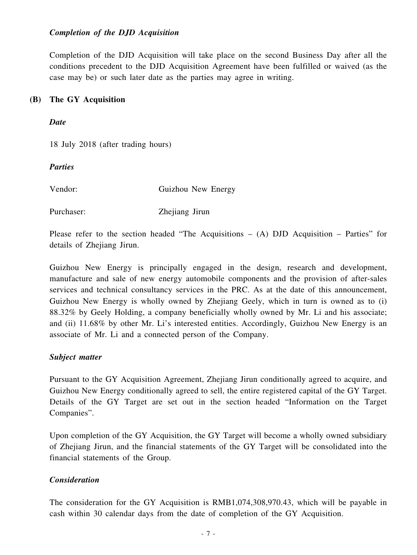#### *Completion of the DJD Acquisition*

Completion of the DJD Acquisition will take place on the second Business Day after all the conditions precedent to the DJD Acquisition Agreement have been fulfilled or waived (as the case may be) or such later date as the parties may agree in writing.

#### **(B) The GY Acquisition**

*Date*

18 July 2018 (after trading hours)

*Parties*

Vendor: Guizhou New Energy

Purchaser: Zhejiang Jirun

Please refer to the section headed "The Acquisitions  $-$  (A) DJD Acquisition  $-$  Parties" for details of Zhejiang Jirun.

Guizhou New Energy is principally engaged in the design, research and development, manufacture and sale of new energy automobile components and the provision of after-sales services and technical consultancy services in the PRC. As at the date of this announcement, Guizhou New Energy is wholly owned by Zhejiang Geely, which in turn is owned as to (i) 88.32% by Geely Holding, a company beneficially wholly owned by Mr. Li and his associate; and (ii) 11.68% by other Mr. Li's interested entities. Accordingly, Guizhou New Energy is an associate of Mr. Li and a connected person of the Company.

#### *Subject matter*

Pursuant to the GY Acquisition Agreement, Zhejiang Jirun conditionally agreed to acquire, and Guizhou New Energy conditionally agreed to sell, the entire registered capital of the GY Target. Details of the GY Target are set out in the section headed "Information on the Target Companies".

Upon completion of the GY Acquisition, the GY Target will become a wholly owned subsidiary of Zhejiang Jirun, and the financial statements of the GY Target will be consolidated into the financial statements of the Group.

### *Consideration*

The consideration for the GY Acquisition is RMB1,074,308,970.43, which will be payable in cash within 30 calendar days from the date of completion of the GY Acquisition.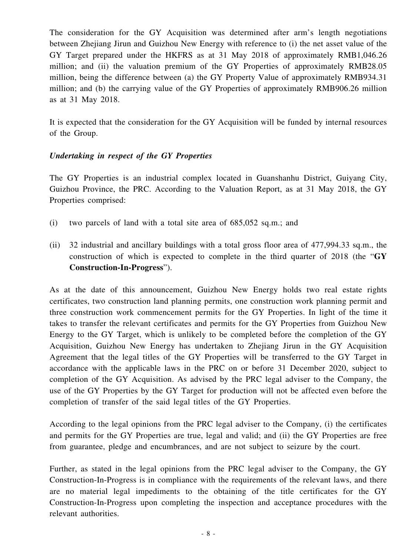The consideration for the GY Acquisition was determined after arm's length negotiations between Zhejiang Jirun and Guizhou New Energy with reference to (i) the net asset value of the GY Target prepared under the HKFRS as at 31 May 2018 of approximately RMB1,046.26 million; and (ii) the valuation premium of the GY Properties of approximately RMB28.05 million, being the difference between (a) the GY Property Value of approximately RMB934.31 million; and (b) the carrying value of the GY Properties of approximately RMB906.26 million as at 31 May 2018.

It is expected that the consideration for the GY Acquisition will be funded by internal resources of the Group.

### *Undertaking in respect of the GY Properties*

The GY Properties is an industrial complex located in Guanshanhu District, Guiyang City, Guizhou Province, the PRC. According to the Valuation Report, as at 31 May 2018, the GY Properties comprised:

- (i) two parcels of land with a total site area of 685,052 sq.m.; and
- (ii) 32 industrial and ancillary buildings with a total gross floor area of 477,994.33 sq.m., the construction of which is expected to complete in the third quarter of 2018 (the "**GY Construction-In-Progress**").

As at the date of this announcement, Guizhou New Energy holds two real estate rights certificates, two construction land planning permits, one construction work planning permit and three construction work commencement permits for the GY Properties. In light of the time it takes to transfer the relevant certificates and permits for the GY Properties from Guizhou New Energy to the GY Target, which is unlikely to be completed before the completion of the GY Acquisition, Guizhou New Energy has undertaken to Zhejiang Jirun in the GY Acquisition Agreement that the legal titles of the GY Properties will be transferred to the GY Target in accordance with the applicable laws in the PRC on or before 31 December 2020, subject to completion of the GY Acquisition. As advised by the PRC legal adviser to the Company, the use of the GY Properties by the GY Target for production will not be affected even before the completion of transfer of the said legal titles of the GY Properties.

According to the legal opinions from the PRC legal adviser to the Company, (i) the certificates and permits for the GY Properties are true, legal and valid; and (ii) the GY Properties are free from guarantee, pledge and encumbrances, and are not subject to seizure by the court.

Further, as stated in the legal opinions from the PRC legal adviser to the Company, the GY Construction-In-Progress is in compliance with the requirements of the relevant laws, and there are no material legal impediments to the obtaining of the title certificates for the GY Construction-In-Progress upon completing the inspection and acceptance procedures with the relevant authorities.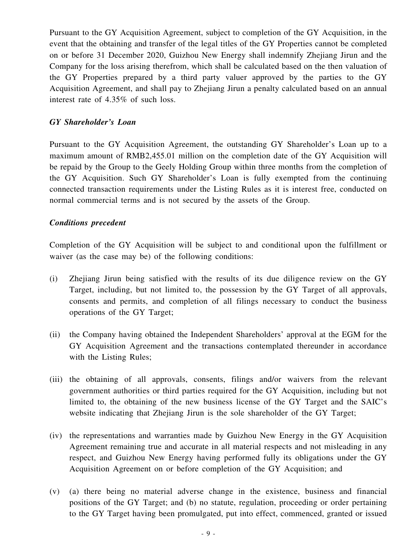Pursuant to the GY Acquisition Agreement, subject to completion of the GY Acquisition, in the event that the obtaining and transfer of the legal titles of the GY Properties cannot be completed on or before 31 December 2020, Guizhou New Energy shall indemnify Zhejiang Jirun and the Company for the loss arising therefrom, which shall be calculated based on the then valuation of the GY Properties prepared by a third party valuer approved by the parties to the GY Acquisition Agreement, and shall pay to Zhejiang Jirun a penalty calculated based on an annual interest rate of 4.35% of such loss.

#### *GY Shareholder's Loan*

Pursuant to the GY Acquisition Agreement, the outstanding GY Shareholder's Loan up to a maximum amount of RMB2,455.01 million on the completion date of the GY Acquisition will be repaid by the Group to the Geely Holding Group within three months from the completion of the GY Acquisition. Such GY Shareholder's Loan is fully exempted from the continuing connected transaction requirements under the Listing Rules as it is interest free, conducted on normal commercial terms and is not secured by the assets of the Group.

#### *Conditions precedent*

Completion of the GY Acquisition will be subject to and conditional upon the fulfillment or waiver (as the case may be) of the following conditions:

- (i) Zhejiang Jirun being satisfied with the results of its due diligence review on the GY Target, including, but not limited to, the possession by the GY Target of all approvals, consents and permits, and completion of all filings necessary to conduct the business operations of the GY Target;
- (ii) the Company having obtained the Independent Shareholders' approval at the EGM for the GY Acquisition Agreement and the transactions contemplated thereunder in accordance with the Listing Rules;
- (iii) the obtaining of all approvals, consents, filings and/or waivers from the relevant government authorities or third parties required for the GY Acquisition, including but not limited to, the obtaining of the new business license of the GY Target and the SAIC's website indicating that Zhejiang Jirun is the sole shareholder of the GY Target;
- (iv) the representations and warranties made by Guizhou New Energy in the GY Acquisition Agreement remaining true and accurate in all material respects and not misleading in any respect, and Guizhou New Energy having performed fully its obligations under the GY Acquisition Agreement on or before completion of the GY Acquisition; and
- (v) (a) there being no material adverse change in the existence, business and financial positions of the GY Target; and (b) no statute, regulation, proceeding or order pertaining to the GY Target having been promulgated, put into effect, commenced, granted or issued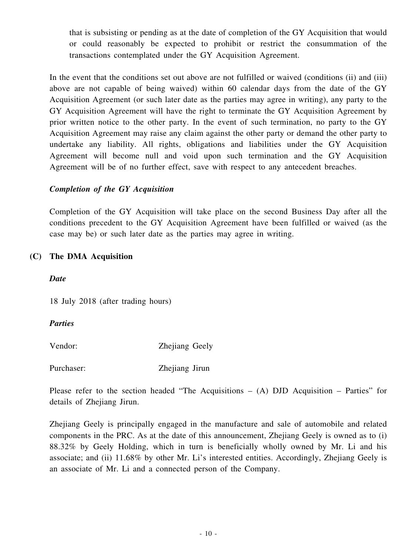that is subsisting or pending as at the date of completion of the GY Acquisition that would or could reasonably be expected to prohibit or restrict the consummation of the transactions contemplated under the GY Acquisition Agreement.

In the event that the conditions set out above are not fulfilled or waived (conditions (ii) and (iii) above are not capable of being waived) within 60 calendar days from the date of the GY Acquisition Agreement (or such later date as the parties may agree in writing), any party to the GY Acquisition Agreement will have the right to terminate the GY Acquisition Agreement by prior written notice to the other party. In the event of such termination, no party to the GY Acquisition Agreement may raise any claim against the other party or demand the other party to undertake any liability. All rights, obligations and liabilities under the GY Acquisition Agreement will become null and void upon such termination and the GY Acquisition Agreement will be of no further effect, save with respect to any antecedent breaches.

### *Completion of the GY Acquisition*

Completion of the GY Acquisition will take place on the second Business Day after all the conditions precedent to the GY Acquisition Agreement have been fulfilled or waived (as the case may be) or such later date as the parties may agree in writing.

### **(C) The DMA Acquisition**

### *Date*

18 July 2018 (after trading hours)

### *Parties*

Vendor: Zhejiang Geely

Purchaser: Zhejiang Jirun

Please refer to the section headed "The Acquisitions – (A) DJD Acquisition – Parties" for details of Zhejiang Jirun.

Zhejiang Geely is principally engaged in the manufacture and sale of automobile and related components in the PRC. As at the date of this announcement, Zhejiang Geely is owned as to (i) 88.32% by Geely Holding, which in turn is beneficially wholly owned by Mr. Li and his associate; and (ii) 11.68% by other Mr. Li's interested entities. Accordingly, Zhejiang Geely is an associate of Mr. Li and a connected person of the Company.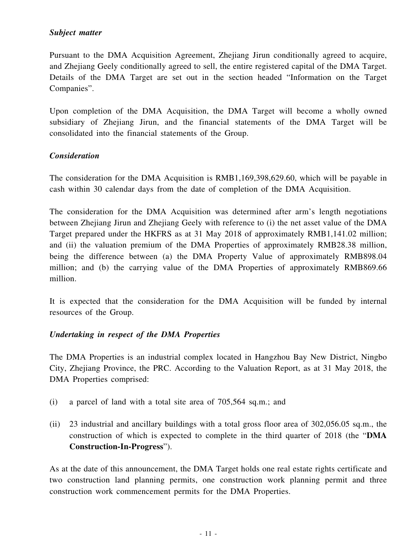### *Subject matter*

Pursuant to the DMA Acquisition Agreement, Zhejiang Jirun conditionally agreed to acquire, and Zhejiang Geely conditionally agreed to sell, the entire registered capital of the DMA Target. Details of the DMA Target are set out in the section headed "Information on the Target Companies".

Upon completion of the DMA Acquisition, the DMA Target will become a wholly owned subsidiary of Zhejiang Jirun, and the financial statements of the DMA Target will be consolidated into the financial statements of the Group.

#### *Consideration*

The consideration for the DMA Acquisition is RMB1,169,398,629.60, which will be payable in cash within 30 calendar days from the date of completion of the DMA Acquisition.

The consideration for the DMA Acquisition was determined after arm's length negotiations between Zhejiang Jirun and Zhejiang Geely with reference to (i) the net asset value of the DMA Target prepared under the HKFRS as at 31 May 2018 of approximately RMB1,141.02 million; and (ii) the valuation premium of the DMA Properties of approximately RMB28.38 million, being the difference between (a) the DMA Property Value of approximately RMB898.04 million; and (b) the carrying value of the DMA Properties of approximately RMB869.66 million.

It is expected that the consideration for the DMA Acquisition will be funded by internal resources of the Group.

#### *Undertaking in respect of the DMA Properties*

The DMA Properties is an industrial complex located in Hangzhou Bay New District, Ningbo City, Zhejiang Province, the PRC. According to the Valuation Report, as at 31 May 2018, the DMA Properties comprised:

- (i) a parcel of land with a total site area of 705,564 sq.m.; and
- (ii) 23 industrial and ancillary buildings with a total gross floor area of 302,056.05 sq.m., the construction of which is expected to complete in the third quarter of 2018 (the "**DMA Construction-In-Progress**").

As at the date of this announcement, the DMA Target holds one real estate rights certificate and two construction land planning permits, one construction work planning permit and three construction work commencement permits for the DMA Properties.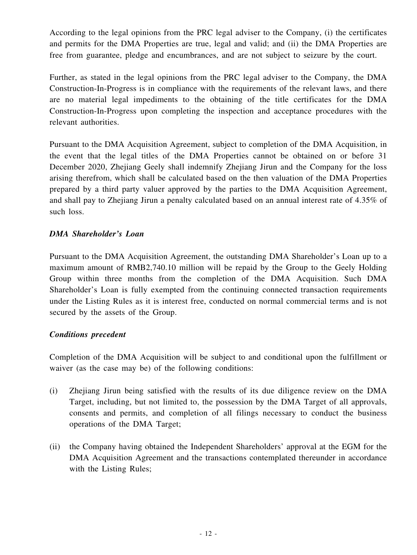According to the legal opinions from the PRC legal adviser to the Company, (i) the certificates and permits for the DMA Properties are true, legal and valid; and (ii) the DMA Properties are free from guarantee, pledge and encumbrances, and are not subject to seizure by the court.

Further, as stated in the legal opinions from the PRC legal adviser to the Company, the DMA Construction-In-Progress is in compliance with the requirements of the relevant laws, and there are no material legal impediments to the obtaining of the title certificates for the DMA Construction-In-Progress upon completing the inspection and acceptance procedures with the relevant authorities.

Pursuant to the DMA Acquisition Agreement, subject to completion of the DMA Acquisition, in the event that the legal titles of the DMA Properties cannot be obtained on or before 31 December 2020, Zhejiang Geely shall indemnify Zhejiang Jirun and the Company for the loss arising therefrom, which shall be calculated based on the then valuation of the DMA Properties prepared by a third party valuer approved by the parties to the DMA Acquisition Agreement, and shall pay to Zhejiang Jirun a penalty calculated based on an annual interest rate of 4.35% of such loss.

### *DMA Shareholder's Loan*

Pursuant to the DMA Acquisition Agreement, the outstanding DMA Shareholder's Loan up to a maximum amount of RMB2,740.10 million will be repaid by the Group to the Geely Holding Group within three months from the completion of the DMA Acquisition. Such DMA Shareholder's Loan is fully exempted from the continuing connected transaction requirements under the Listing Rules as it is interest free, conducted on normal commercial terms and is not secured by the assets of the Group.

### *Conditions precedent*

Completion of the DMA Acquisition will be subject to and conditional upon the fulfillment or waiver (as the case may be) of the following conditions:

- (i) Zhejiang Jirun being satisfied with the results of its due diligence review on the DMA Target, including, but not limited to, the possession by the DMA Target of all approvals, consents and permits, and completion of all filings necessary to conduct the business operations of the DMA Target;
- (ii) the Company having obtained the Independent Shareholders' approval at the EGM for the DMA Acquisition Agreement and the transactions contemplated thereunder in accordance with the Listing Rules;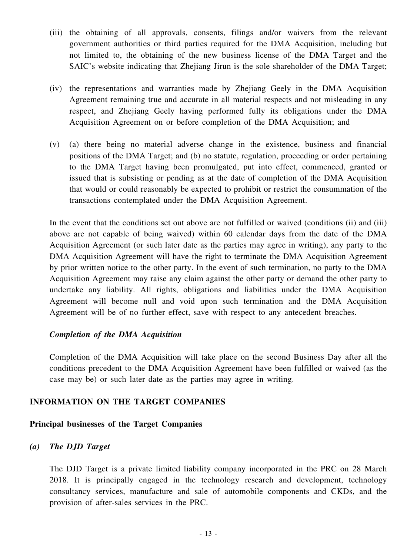- (iii) the obtaining of all approvals, consents, filings and/or waivers from the relevant government authorities or third parties required for the DMA Acquisition, including but not limited to, the obtaining of the new business license of the DMA Target and the SAIC's website indicating that Zhejiang Jirun is the sole shareholder of the DMA Target;
- (iv) the representations and warranties made by Zhejiang Geely in the DMA Acquisition Agreement remaining true and accurate in all material respects and not misleading in any respect, and Zhejiang Geely having performed fully its obligations under the DMA Acquisition Agreement on or before completion of the DMA Acquisition; and
- (v) (a) there being no material adverse change in the existence, business and financial positions of the DMA Target; and (b) no statute, regulation, proceeding or order pertaining to the DMA Target having been promulgated, put into effect, commenced, granted or issued that is subsisting or pending as at the date of completion of the DMA Acquisition that would or could reasonably be expected to prohibit or restrict the consummation of the transactions contemplated under the DMA Acquisition Agreement.

In the event that the conditions set out above are not fulfilled or waived (conditions (ii) and (iii) above are not capable of being waived) within 60 calendar days from the date of the DMA Acquisition Agreement (or such later date as the parties may agree in writing), any party to the DMA Acquisition Agreement will have the right to terminate the DMA Acquisition Agreement by prior written notice to the other party. In the event of such termination, no party to the DMA Acquisition Agreement may raise any claim against the other party or demand the other party to undertake any liability. All rights, obligations and liabilities under the DMA Acquisition Agreement will become null and void upon such termination and the DMA Acquisition Agreement will be of no further effect, save with respect to any antecedent breaches.

#### *Completion of the DMA Acquisition*

Completion of the DMA Acquisition will take place on the second Business Day after all the conditions precedent to the DMA Acquisition Agreement have been fulfilled or waived (as the case may be) or such later date as the parties may agree in writing.

### **INFORMATION ON THE TARGET COMPANIES**

#### **Principal businesses of the Target Companies**

#### *(a) The DJD Target*

The DJD Target is a private limited liability company incorporated in the PRC on 28 March 2018. It is principally engaged in the technology research and development, technology consultancy services, manufacture and sale of automobile components and CKDs, and the provision of after-sales services in the PRC.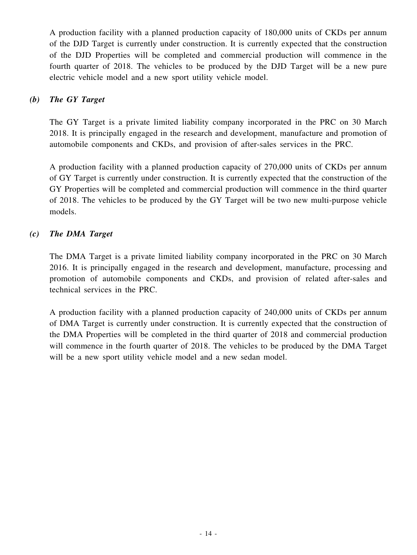A production facility with a planned production capacity of 180,000 units of CKDs per annum of the DJD Target is currently under construction. It is currently expected that the construction of the DJD Properties will be completed and commercial production will commence in the fourth quarter of 2018. The vehicles to be produced by the DJD Target will be a new pure electric vehicle model and a new sport utility vehicle model.

### *(b) The GY Target*

The GY Target is a private limited liability company incorporated in the PRC on 30 March 2018. It is principally engaged in the research and development, manufacture and promotion of automobile components and CKDs, and provision of after-sales services in the PRC.

A production facility with a planned production capacity of 270,000 units of CKDs per annum of GY Target is currently under construction. It is currently expected that the construction of the GY Properties will be completed and commercial production will commence in the third quarter of 2018. The vehicles to be produced by the GY Target will be two new multi-purpose vehicle models.

### *(c) The DMA Target*

The DMA Target is a private limited liability company incorporated in the PRC on 30 March 2016. It is principally engaged in the research and development, manufacture, processing and promotion of automobile components and CKDs, and provision of related after-sales and technical services in the PRC.

A production facility with a planned production capacity of 240,000 units of CKDs per annum of DMA Target is currently under construction. It is currently expected that the construction of the DMA Properties will be completed in the third quarter of 2018 and commercial production will commence in the fourth quarter of 2018. The vehicles to be produced by the DMA Target will be a new sport utility vehicle model and a new sedan model.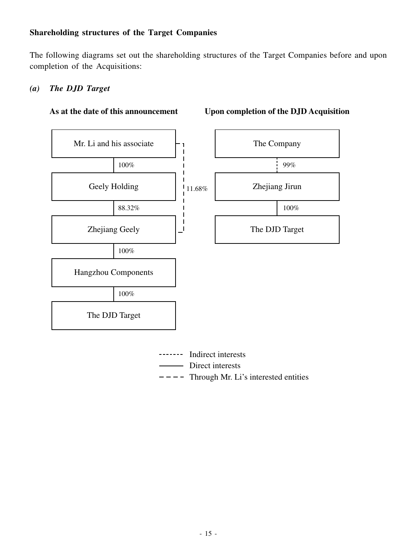### **Shareholding structures of the Target Companies**

The following diagrams set out the shareholding structures of the Target Companies before and upon completion of the Acquisitions:

### *(a) The DJD Target*



#### **As at the date of this announcement Upon completion of the DJD Acquisition**

- ------- Indirect interests
	- Direct interests
- $---$  Through Mr. Li's interested entities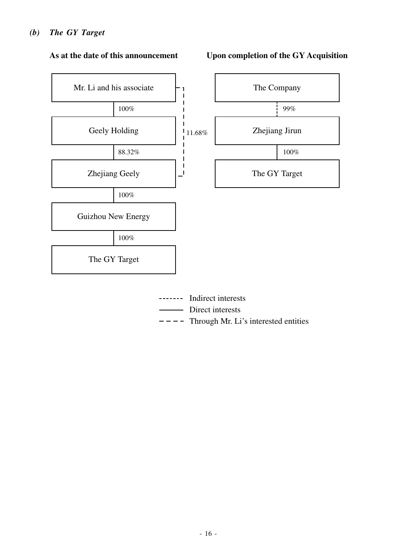### *(b) The GY Target*



#### **As at the date of this announcement**

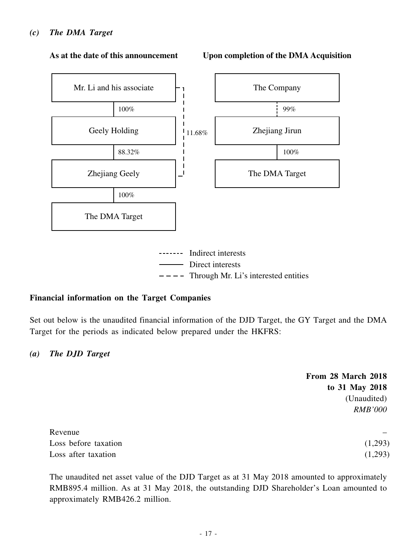#### *(c) The DMA Target*



#### **As at the date of this announcement**



#### **Financial information on the Target Companies**

Set out below is the unaudited financial information of the DJD Target, the GY Target and the DMA Target for the periods as indicated below prepared under the HKFRS:

#### *(a) The DJD Target*

|                      | From 28 March 2018 |
|----------------------|--------------------|
|                      | to 31 May 2018     |
|                      | (Unaudited)        |
|                      | <b>RMB'000</b>     |
| Revenue              |                    |
| Loss before taxation | (1,293)            |
| Loss after taxation  | (1,293)            |

The unaudited net asset value of the DJD Target as at 31 May 2018 amounted to approximately RMB895.4 million. As at 31 May 2018, the outstanding DJD Shareholder's Loan amounted to approximately RMB426.2 million.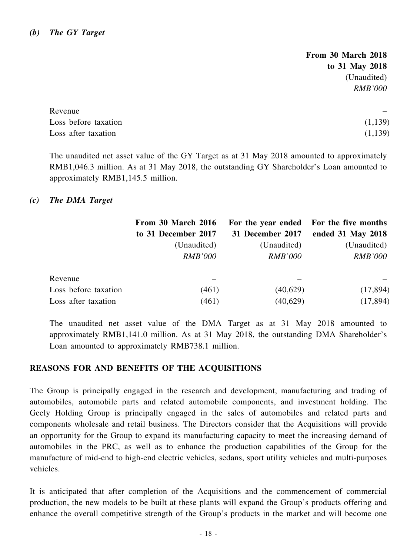**From 30 March 2018 to 31 May 2018** (Unaudited) *RMB'000*

| Revenue              | $\sim$  |
|----------------------|---------|
| Loss before taxation | (1,139) |
| Loss after taxation  | (1,139) |

The unaudited net asset value of the GY Target as at 31 May 2018 amounted to approximately RMB1,046.3 million. As at 31 May 2018, the outstanding GY Shareholder's Loan amounted to approximately RMB1,145.5 million.

#### *(c) The DMA Target*

|                      | From 30 March 2016  |                  | For the year ended For the five months |
|----------------------|---------------------|------------------|----------------------------------------|
|                      | to 31 December 2017 | 31 December 2017 | ended 31 May 2018                      |
|                      | (Unaudited)         | (Unaudited)      | (Unaudited)                            |
|                      | <b>RMB'000</b>      | <b>RMB'000</b>   | <b>RMB'000</b>                         |
| Revenue              |                     |                  |                                        |
| Loss before taxation | (461)               | (40,629)         | (17, 894)                              |
| Loss after taxation  | (461)               | (40,629)         | (17, 894)                              |

The unaudited net asset value of the DMA Target as at 31 May 2018 amounted to approximately RMB1,141.0 million. As at 31 May 2018, the outstanding DMA Shareholder's Loan amounted to approximately RMB738.1 million.

### **REASONS FOR AND BENEFITS OF THE ACQUISITIONS**

The Group is principally engaged in the research and development, manufacturing and trading of automobiles, automobile parts and related automobile components, and investment holding. The Geely Holding Group is principally engaged in the sales of automobiles and related parts and components wholesale and retail business. The Directors consider that the Acquisitions will provide an opportunity for the Group to expand its manufacturing capacity to meet the increasing demand of automobiles in the PRC, as well as to enhance the production capabilities of the Group for the manufacture of mid-end to high-end electric vehicles, sedans, sport utility vehicles and multi-purposes vehicles.

It is anticipated that after completion of the Acquisitions and the commencement of commercial production, the new models to be built at these plants will expand the Group's products offering and enhance the overall competitive strength of the Group's products in the market and will become one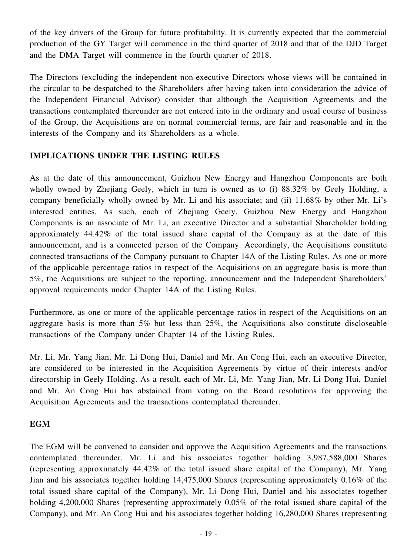of the key drivers of the Group for future profitability. It is currently expected that the commercial production of the GY Target will commence in the third quarter of 2018 and that of the DJD Target and the DMA Target will commence in the fourth quarter of 2018.

The Directors (excluding the independent non-executive Directors whose views will be contained in the circular to be despatched to the Shareholders after having taken into consideration the advice of the Independent Financial Advisor) consider that although the Acquisition Agreements and the transactions contemplated thereunder are not entered into in the ordinary and usual course of business of the Group, the Acquisitions are on normal commercial terms, are fair and reasonable and in the interests of the Company and its Shareholders as a whole.

### **IMPLICATIONS UNDER THE LISTING RULES**

As at the date of this announcement, Guizhou New Energy and Hangzhou Components are both wholly owned by Zhejiang Geely, which in turn is owned as to (i) 88.32% by Geely Holding, a company beneficially wholly owned by Mr. Li and his associate; and (ii) 11.68% by other Mr. Li's interested entities. As such, each of Zhejiang Geely, Guizhou New Energy and Hangzhou Components is an associate of Mr. Li, an executive Director and a substantial Shareholder holding approximately 44.42% of the total issued share capital of the Company as at the date of this announcement, and is a connected person of the Company. Accordingly, the Acquisitions constitute connected transactions of the Company pursuant to Chapter 14A of the Listing Rules. As one or more of the applicable percentage ratios in respect of the Acquisitions on an aggregate basis is more than 5%, the Acquisitions are subject to the reporting, announcement and the Independent Shareholders' approval requirements under Chapter 14A of the Listing Rules.

Furthermore, as one or more of the applicable percentage ratios in respect of the Acquisitions on an aggregate basis is more than 5% but less than 25%, the Acquisitions also constitute discloseable transactions of the Company under Chapter 14 of the Listing Rules.

Mr. Li, Mr. Yang Jian, Mr. Li Dong Hui, Daniel and Mr. An Cong Hui, each an executive Director, are considered to be interested in the Acquisition Agreements by virtue of their interests and/or directorship in Geely Holding. As a result, each of Mr. Li, Mr. Yang Jian, Mr. Li Dong Hui, Daniel and Mr. An Cong Hui has abstained from voting on the Board resolutions for approving the Acquisition Agreements and the transactions contemplated thereunder.

### **EGM**

The EGM will be convened to consider and approve the Acquisition Agreements and the transactions contemplated thereunder. Mr. Li and his associates together holding 3,987,588,000 Shares (representing approximately 44.42% of the total issued share capital of the Company), Mr. Yang Jian and his associates together holding 14,475,000 Shares (representing approximately 0.16% of the total issued share capital of the Company), Mr. Li Dong Hui, Daniel and his associates together holding 4,200,000 Shares (representing approximately 0.05% of the total issued share capital of the Company), and Mr. An Cong Hui and his associates together holding 16,280,000 Shares (representing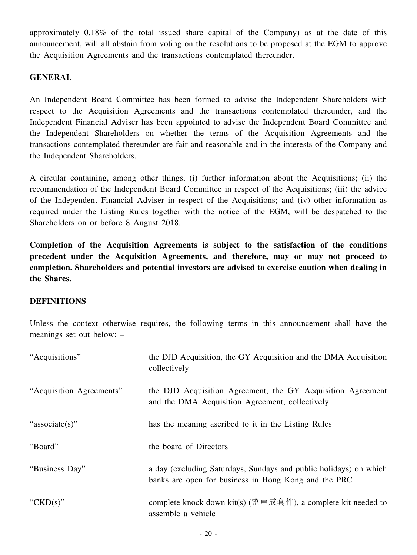approximately 0.18% of the total issued share capital of the Company) as at the date of this announcement, will all abstain from voting on the resolutions to be proposed at the EGM to approve the Acquisition Agreements and the transactions contemplated thereunder.

### **GENERAL**

An Independent Board Committee has been formed to advise the Independent Shareholders with respect to the Acquisition Agreements and the transactions contemplated thereunder, and the Independent Financial Adviser has been appointed to advise the Independent Board Committee and the Independent Shareholders on whether the terms of the Acquisition Agreements and the transactions contemplated thereunder are fair and reasonable and in the interests of the Company and the Independent Shareholders.

A circular containing, among other things, (i) further information about the Acquisitions; (ii) the recommendation of the Independent Board Committee in respect of the Acquisitions; (iii) the advice of the Independent Financial Adviser in respect of the Acquisitions; and (iv) other information as required under the Listing Rules together with the notice of the EGM, will be despatched to the Shareholders on or before 8 August 2018.

**Completion of the Acquisition Agreements is subject to the satisfaction of the conditions precedent under the Acquisition Agreements, and therefore, may or may not proceed to completion. Shareholders and potential investors are advised to exercise caution when dealing in the Shares.**

### **DEFINITIONS**

Unless the context otherwise requires, the following terms in this announcement shall have the meanings set out below: –

| "Acquisitions"           | the DJD Acquisition, the GY Acquisition and the DMA Acquisition<br>collectively                                           |
|--------------------------|---------------------------------------------------------------------------------------------------------------------------|
| "Acquisition Agreements" | the DJD Acquisition Agreement, the GY Acquisition Agreement<br>and the DMA Acquisition Agreement, collectively            |
| "associate(s)"           | has the meaning ascribed to it in the Listing Rules                                                                       |
| "Board"                  | the board of Directors                                                                                                    |
| "Business Day"           | a day (excluding Saturdays, Sundays and public holidays) on which<br>banks are open for business in Hong Kong and the PRC |
| " $CKD(s)$ "             | complete knock down kit(s) (整車成套件), a complete kit needed to<br>assemble a vehicle                                        |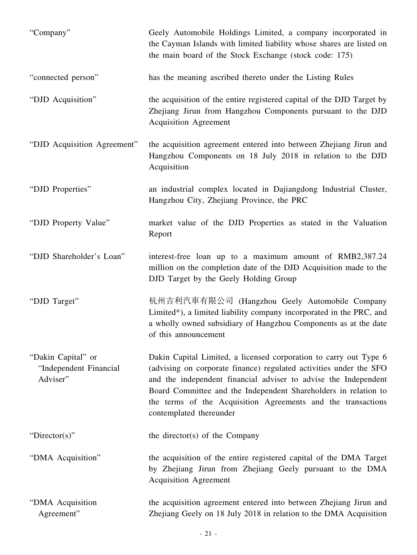| "Company"                                                | Geely Automobile Holdings Limited, a company incorporated in<br>the Cayman Islands with limited liability whose shares are listed on<br>the main board of the Stock Exchange (stock code: 175)                                                                                                                                                                           |
|----------------------------------------------------------|--------------------------------------------------------------------------------------------------------------------------------------------------------------------------------------------------------------------------------------------------------------------------------------------------------------------------------------------------------------------------|
| "connected person"                                       | has the meaning ascribed thereto under the Listing Rules                                                                                                                                                                                                                                                                                                                 |
| "DJD Acquisition"                                        | the acquisition of the entire registered capital of the DJD Target by<br>Zhejiang Jirun from Hangzhou Components pursuant to the DJD<br><b>Acquisition Agreement</b>                                                                                                                                                                                                     |
| "DJD Acquisition Agreement"                              | the acquisition agreement entered into between Zhejiang Jirun and<br>Hangzhou Components on 18 July 2018 in relation to the DJD<br>Acquisition                                                                                                                                                                                                                           |
| "DJD Properties"                                         | an industrial complex located in Dajiangdong Industrial Cluster,<br>Hangzhou City, Zhejiang Province, the PRC                                                                                                                                                                                                                                                            |
| "DJD Property Value"                                     | market value of the DJD Properties as stated in the Valuation<br>Report                                                                                                                                                                                                                                                                                                  |
| "DJD Shareholder's Loan"                                 | interest-free loan up to a maximum amount of RMB2,387.24<br>million on the completion date of the DJD Acquisition made to the<br>DJD Target by the Geely Holding Group                                                                                                                                                                                                   |
| "DJD Target"                                             | 杭州吉利汽車有限公司 (Hangzhou Geely Automobile Company<br>Limited*), a limited liability company incorporated in the PRC, and<br>a wholly owned subsidiary of Hangzhou Components as at the date<br>of this announcement                                                                                                                                                          |
| "Dakin Capital" or<br>"Independent Financial<br>Adviser" | Dakin Capital Limited, a licensed corporation to carry out Type 6<br>(advising on corporate finance) regulated activities under the SFO<br>and the independent financial adviser to advise the Independent<br>Board Committee and the Independent Shareholders in relation to<br>the terms of the Acquisition Agreements and the transactions<br>contemplated thereunder |
| "Director(s)"                                            | the director(s) of the Company                                                                                                                                                                                                                                                                                                                                           |
| "DMA Acquisition"                                        | the acquisition of the entire registered capital of the DMA Target<br>by Zhejiang Jirun from Zhejiang Geely pursuant to the DMA<br><b>Acquisition Agreement</b>                                                                                                                                                                                                          |
| "DMA Acquisition<br>Agreement"                           | the acquisition agreement entered into between Zhejiang Jirun and<br>Zhejiang Geely on 18 July 2018 in relation to the DMA Acquisition                                                                                                                                                                                                                                   |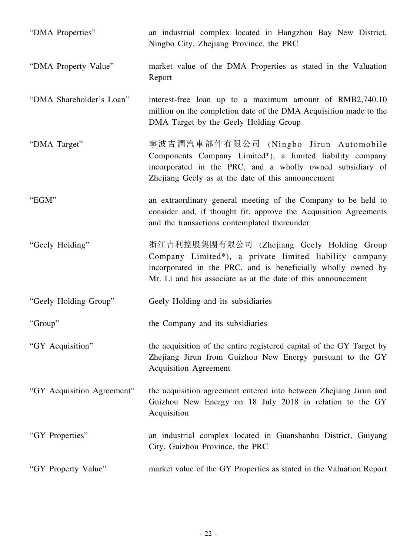| "DMA Properties"           | an industrial complex located in Hangzhou Bay New District,<br>Ningbo City, Zhejiang Province, the PRC                                                                                                                               |
|----------------------------|--------------------------------------------------------------------------------------------------------------------------------------------------------------------------------------------------------------------------------------|
| "DMA Property Value"       | market value of the DMA Properties as stated in the Valuation<br>Report                                                                                                                                                              |
| "DMA Shareholder's Loan"   | interest-free loan up to a maximum amount of RMB2,740.10<br>million on the completion date of the DMA Acquisition made to the<br>DMA Target by the Geely Holding Group                                                               |
| "DMA Target"               | 寧波吉潤汽車部件有限公司 (Ningbo Jirun Automobile<br>Components Company Limited*), a limited liability company<br>incorporated in the PRC, and a wholly owned subsidiary of<br>Zhejiang Geely as at the date of this announcement                |
| "EGM"                      | an extraordinary general meeting of the Company to be held to<br>consider and, if thought fit, approve the Acquisition Agreements<br>and the transactions contemplated thereunder                                                    |
| "Geely Holding"            | 浙江吉利控股集團有限公司 (Zhejiang Geely Holding Group<br>Company Limited*), a private limited liability company<br>incorporated in the PRC, and is beneficially wholly owned by<br>Mr. Li and his associate as at the date of this announcement |
| "Geely Holding Group"      | Geely Holding and its subsidiaries                                                                                                                                                                                                   |
| "Group"                    | the Company and its subsidiaries                                                                                                                                                                                                     |
| "GY Acquisition"           | the acquisition of the entire registered capital of the GY Target by<br>Zhejiang Jirun from Guizhou New Energy pursuant to the GY<br><b>Acquisition Agreement</b>                                                                    |
| "GY Acquisition Agreement" | the acquisition agreement entered into between Zhejiang Jirun and<br>Guizhou New Energy on 18 July 2018 in relation to the GY<br>Acquisition                                                                                         |
| "GY Properties"            | an industrial complex located in Guanshanhu District, Guiyang<br>City, Guizhou Province, the PRC                                                                                                                                     |
| "GY Property Value"        | market value of the GY Properties as stated in the Valuation Report                                                                                                                                                                  |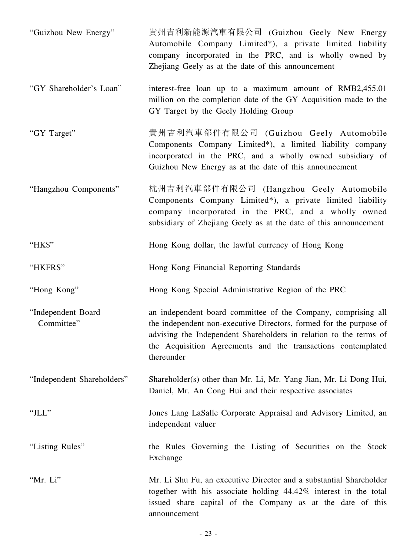| "Guizhou New Energy"             | 貴州吉利新能源汽車有限公司 (Guizhou Geely New Energy<br>Automobile Company Limited*), a private limited liability<br>company incorporated in the PRC, and is wholly owned by<br>Zhejiang Geely as at the date of this announcement                                                                  |
|----------------------------------|----------------------------------------------------------------------------------------------------------------------------------------------------------------------------------------------------------------------------------------------------------------------------------------|
| "GY Shareholder's Loan"          | interest-free loan up to a maximum amount of RMB2,455.01<br>million on the completion date of the GY Acquisition made to the<br>GY Target by the Geely Holding Group                                                                                                                   |
| "GY Target"                      | 貴州吉利汽車部件有限公司 (Guizhou Geely Automobile<br>Components Company Limited*), a limited liability company<br>incorporated in the PRC, and a wholly owned subsidiary of<br>Guizhou New Energy as at the date of this announcement                                                             |
| "Hangzhou Components"            | 杭州吉利汽車部件有限公司 (Hangzhou Geely Automobile<br>Components Company Limited*), a private limited liability<br>company incorporated in the PRC, and a wholly owned<br>subsidiary of Zhejiang Geely as at the date of this announcement                                                        |
| "HK\$"                           | Hong Kong dollar, the lawful currency of Hong Kong                                                                                                                                                                                                                                     |
| "HKFRS"                          | Hong Kong Financial Reporting Standards                                                                                                                                                                                                                                                |
| "Hong Kong"                      | Hong Kong Special Administrative Region of the PRC                                                                                                                                                                                                                                     |
| "Independent Board<br>Committee" | an independent board committee of the Company, comprising all<br>the independent non-executive Directors, formed for the purpose of<br>advising the Independent Shareholders in relation to the terms of<br>the Acquisition Agreements and the transactions contemplated<br>thereunder |
| "Independent Shareholders"       | Shareholder(s) other than Mr. Li, Mr. Yang Jian, Mr. Li Dong Hui,<br>Daniel, Mr. An Cong Hui and their respective associates                                                                                                                                                           |
| "JLL"                            | Jones Lang LaSalle Corporate Appraisal and Advisory Limited, an<br>independent valuer                                                                                                                                                                                                  |
| "Listing Rules"                  | the Rules Governing the Listing of Securities on the Stock<br>Exchange                                                                                                                                                                                                                 |
| "Mr. Li"                         | Mr. Li Shu Fu, an executive Director and a substantial Shareholder<br>together with his associate holding 44.42% interest in the total<br>issued share capital of the Company as at the date of this<br>announcement                                                                   |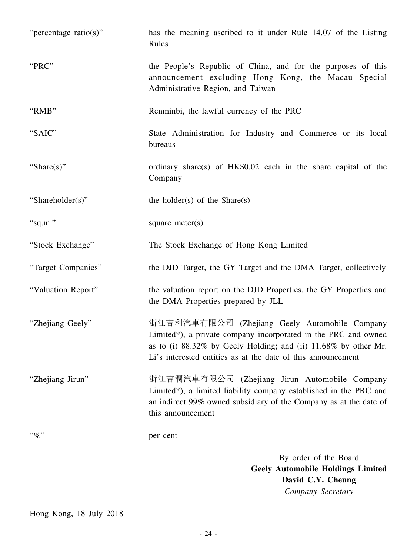| "percentage ratio(s)" | has the meaning ascribed to it under Rule 14.07 of the Listing<br>Rules                                                                                                                                                                            |
|-----------------------|----------------------------------------------------------------------------------------------------------------------------------------------------------------------------------------------------------------------------------------------------|
| "PRC"                 | the People's Republic of China, and for the purposes of this<br>announcement excluding Hong Kong, the Macau Special<br>Administrative Region, and Taiwan                                                                                           |
| "RMB"                 | Renminbi, the lawful currency of the PRC                                                                                                                                                                                                           |
| "SAIC"                | State Administration for Industry and Commerce or its local<br>bureaus                                                                                                                                                                             |
| "Share $(s)$ "        | ordinary share(s) of HK\$0.02 each in the share capital of the<br>Company                                                                                                                                                                          |
| "Shareholder(s)"      | the holder(s) of the Share(s)                                                                                                                                                                                                                      |
| "sq.m."               | square $meter(s)$                                                                                                                                                                                                                                  |
| "Stock Exchange"      | The Stock Exchange of Hong Kong Limited                                                                                                                                                                                                            |
| "Target Companies"    | the DJD Target, the GY Target and the DMA Target, collectively                                                                                                                                                                                     |
| "Valuation Report"    | the valuation report on the DJD Properties, the GY Properties and<br>the DMA Properties prepared by JLL                                                                                                                                            |
| "Zhejiang Geely"      | 浙江吉利汽車有限公司 (Zhejiang Geely Automobile Company<br>Limited*), a private company incorporated in the PRC and owned<br>as to (i) 88.32% by Geely Holding; and (ii) 11.68% by other Mr.<br>Li's interested entities as at the date of this announcement |
| "Zhejiang Jirun"      | 浙江吉潤汽車有限公司 (Zhejiang Jirun Automobile Company<br>Limited*), a limited liability company established in the PRC and<br>an indirect 99% owned subsidiary of the Company as at the date of<br>this announcement                                       |
| $``\%"$               | per cent                                                                                                                                                                                                                                           |
|                       | By order of the Board<br><b>Geely Automobile Holdings Limited</b><br>David C.Y. Cheung                                                                                                                                                             |

Hong Kong, 18 July 2018

*Company Secretary*